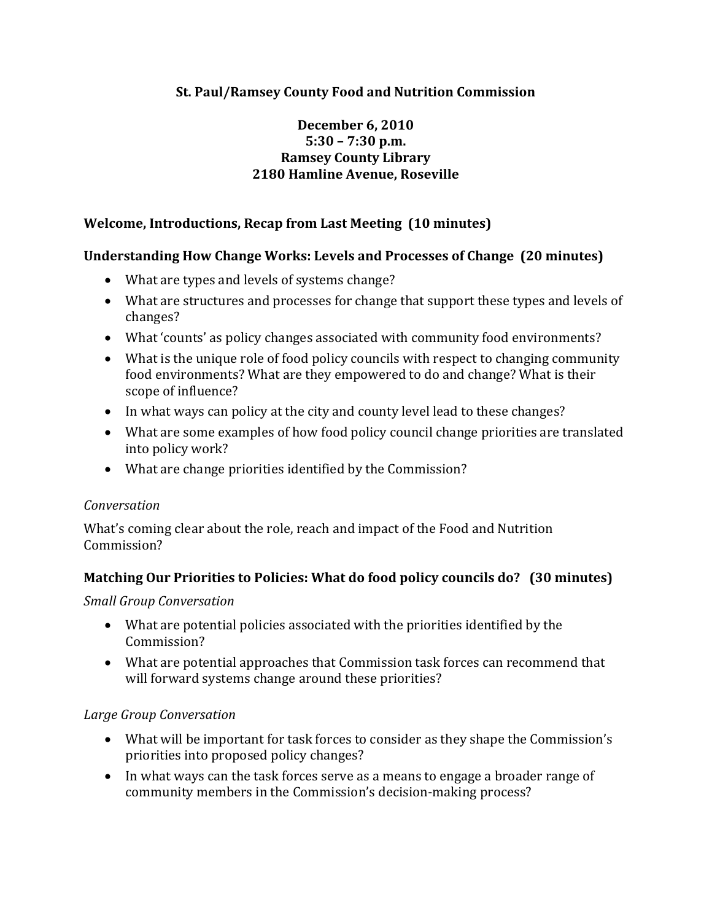# **St. Paul/Ramsey County Food and Nutrition Commission**

### **December 6, 2010 5:30 – 7:30 p.m. Ramsey County Library 2180 Hamline Avenue, Roseville**

### **Welcome, Introductions, Recap from Last Meeting (10 minutes)**

#### **Understanding How Change Works: Levels and Processes of Change (20 minutes)**

- What are types and levels of systems change?
- What are structures and processes for change that support these types and levels of changes?
- What 'counts' as policy changes associated with community food environments?
- What is the unique role of food policy councils with respect to changing community food environments? What are they empowered to do and change? What is their scope of influence?
- In what ways can policy at the city and county level lead to these changes?
- What are some examples of how food policy council change priorities are translated into policy work?
- What are change priorities identified by the Commission?

#### *Conversation*

What's coming clear about the role, reach and impact of the Food and Nutrition Commission?

#### **Matching Our Priorities to Policies: What do food policy councils do? (30 minutes)**

#### *Small Group Conversation*

- What are potential policies associated with the priorities identified by the Commission?
- What are potential approaches that Commission task forces can recommend that will forward systems change around these priorities?

#### *Large Group Conversation*

- What will be important for task forces to consider as they shape the Commission's priorities into proposed policy changes?
- In what ways can the task forces serve as a means to engage a broader range of community members in the Commission's decision‐making process?